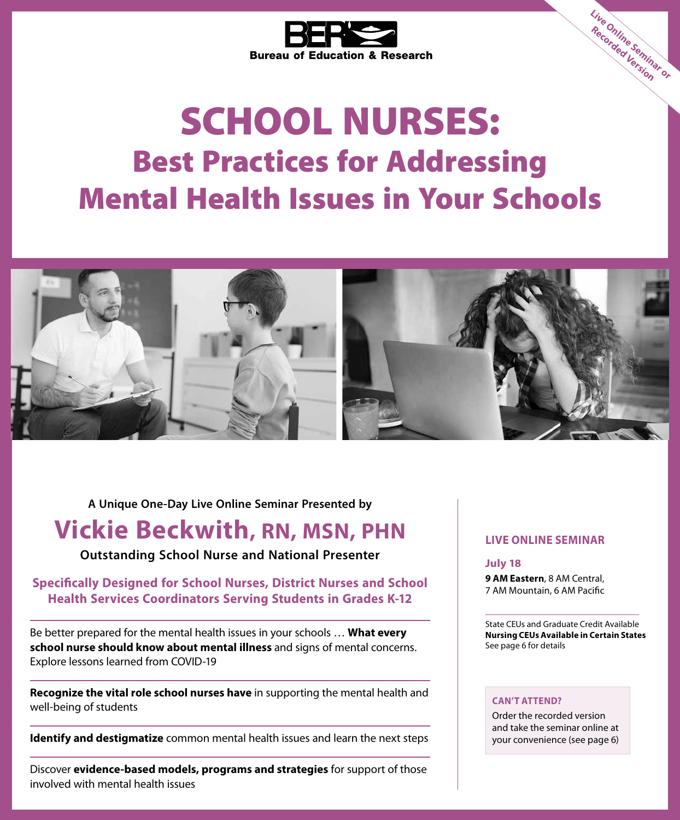

# SCHOOL NURSES: Best Practices for Addressing Mental Health Issues in Your Schools



**A Unique One-Day Live Online Seminar Presented by**

### **Vickie Beckwith, RN, MSN, PHN**

**Outstanding School Nurse and National Presenter**

#### **Specifically Designed for School Nurses, District Nurses and School Health Services Coordinators Serving Students in Grades K-12**

Be better prepared for the mental health issues in your schools … **What every school nurse should know about mental illness** and signs of mental concerns. Explore lessons learned from COVID-19

**Recognize the vital role school nurses have** in supporting the mental health and well-being of students

**Identify and destigmatize** common mental health issues and learn the next steps

Discover **evidence-based models, programs and strategies** for support of those involved with mental health issues

#### **LIVE ONLINE SEMINAR**

**July 18 9 AM Eastern**, 8 AM Central, 7 AM Mountain, 6 AM Pacific

State CEUs and Graduate Credit Available **Nursing CEUs Available in Certain States** See page 6 for details

**Live Online Seminar or Recorded Version**

#### **CAN'T ATTEND?**

Order the recorded version and take the seminar online at your convenience (see page 6)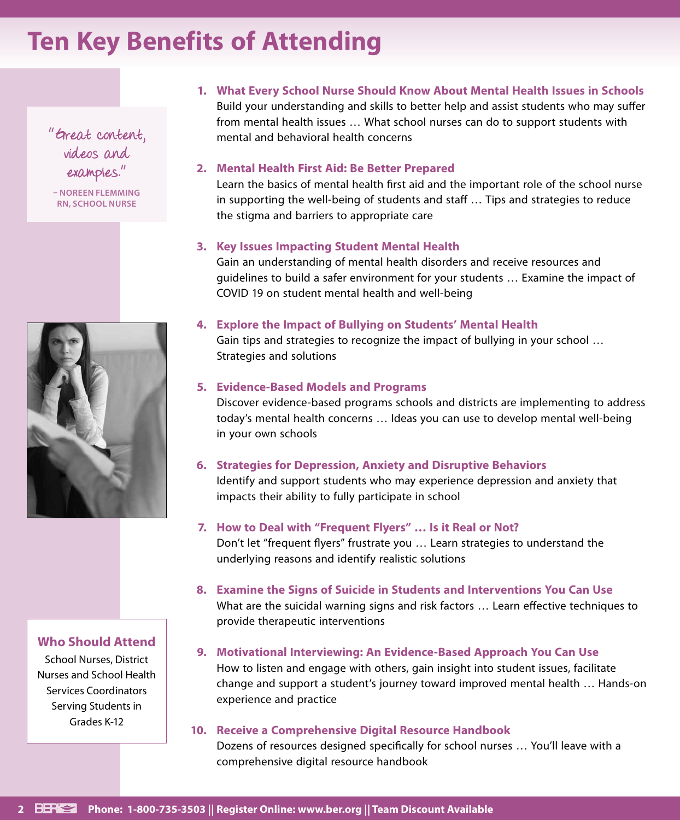## **Ten Key Benefits of Attending**

"Great content, videos and examples."

**– NOREEN FLEMMING RN, SCHOOL NURSE**



#### **Who Should Attend**

School Nurses, District Nurses and School Health Services Coordinators Serving Students in Grades K-12

**1. What Every School Nurse Should Know About Mental Health Issues in Schools** Build your understanding and skills to better help and assist students who may suffer from mental health issues … What school nurses can do to support students with mental and behavioral health concerns

#### **2. Mental Health First Aid: Be Better Prepared**

Learn the basics of mental health first aid and the important role of the school nurse in supporting the well-being of students and staff … Tips and strategies to reduce the stigma and barriers to appropriate care

#### **3. Key Issues Impacting Student Mental Health**

Gain an understanding of mental health disorders and receive resources and guidelines to build a safer environment for your students … Examine the impact of COVID 19 on student mental health and well-being

#### **4. Explore the Impact of Bullying on Students' Mental Health**

Gain tips and strategies to recognize the impact of bullying in your school … Strategies and solutions

#### **5. Evidence-Based Models and Programs**

Discover evidence-based programs schools and districts are implementing to address today's mental health concerns … Ideas you can use to develop mental well-being in your own schools

#### **6. Strategies for Depression, Anxiety and Disruptive Behaviors**

Identify and support students who may experience depression and anxiety that impacts their ability to fully participate in school

#### **7. How to Deal with "Frequent Flyers" … Is it Real or Not?**

Don't let "frequent flyers" frustrate you … Learn strategies to understand the underlying reasons and identify realistic solutions

**8. Examine the Signs of Suicide in Students and Interventions You Can Use** What are the suicidal warning signs and risk factors … Learn effective techniques to provide therapeutic interventions

#### **9. Motivational Interviewing: An Evidence-Based Approach You Can Use**

How to listen and engage with others, gain insight into student issues, facilitate change and support a student's journey toward improved mental health … Hands-on experience and practice

#### **10. Receive a Comprehensive Digital Resource Handbook**

Dozens of resources designed specifically for school nurses … You'll leave with a comprehensive digital resource handbook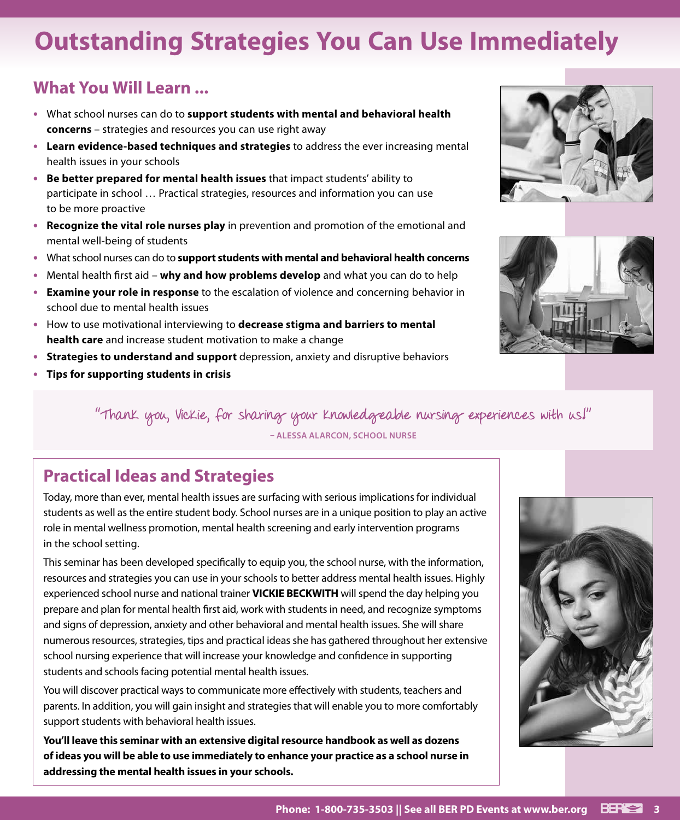## **Outstanding Strategies You Can Use Immediately**

### **What You Will Learn ...**

- **•** What school nurses can do to **support students with mental and behavioral health concerns** – strategies and resources you can use right away
- **• Learn evidence-based techniques and strategies** to address the ever increasing mental health issues in your schools
- **• Be better prepared for mental health issues** that impact students' ability to participate in school … Practical strategies, resources and information you can use to be more proactive
- **• Recognize the vital role nurses play** in prevention and promotion of the emotional and mental well-being of students
- **•** What school nurses can do to **support students with mental and behavioral health concerns**
- **•** Mental health first aid **why and how problems develop** and what you can do to help
- **• Examine your role in response** to the escalation of violence and concerning behavior in school due to mental health issues
- **•** How to use motivational interviewing to **decrease stigma and barriers to mental health care** and increase student motivation to make a change
- **• Strategies to understand and support** depression, anxiety and disruptive behaviors
- **• Tips for supporting students in crisis**





"Thank you, Vickie, for sharing your knowledgeable nursing experiences with us!" **– ALESSA ALARCON, SCHOOL NURSE**

### **Practical Ideas and Strategies**

Today, more than ever, mental health issues are surfacing with serious implications for individual students as well as the entire student body. School nurses are in a unique position to play an active role in mental wellness promotion, mental health screening and early intervention programs in the school setting.

This seminar has been developed specifically to equip you, the school nurse, with the information, resources and strategies you can use in your schools to better address mental health issues. Highly experienced school nurse and national trainer **VICKIE BECKWITH** will spend the day helping you prepare and plan for mental health first aid, work with students in need, and recognize symptoms and signs of depression, anxiety and other behavioral and mental health issues. She will share numerous resources, strategies, tips and practical ideas she has gathered throughout her extensive school nursing experience that will increase your knowledge and confidence in supporting students and schools facing potential mental health issues.

You will discover practical ways to communicate more effectively with students, teachers and parents. In addition, you will gain insight and strategies that will enable you to more comfortably support students with behavioral health issues.

**You'll leave this seminar with an extensive digital resource handbook as well as dozens of ideas you will be able to use immediately to enhance your practice as a school nurse in addressing the mental health issues in your schools.**

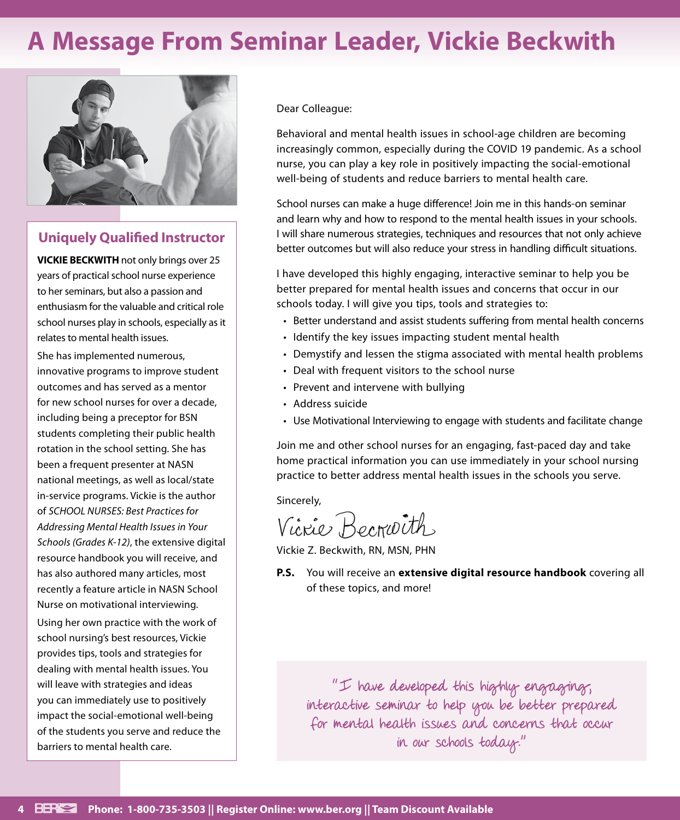## **A Message From Seminar Leader, Vickie Beckwith**



#### **Uniquely Qualified Instructor**

**VICKIE BECKWITH** not only brings over 25 years of practical school nurse experience to her seminars, but also a passion and enthusiasm for the valuable and critical role school nurses play in schools, especially as it relates to mental health issues.

She has implemented numerous, innovative programs to improve student outcomes and has served as a mentor for new school nurses for over a decade, including being a preceptor for BSN students completing their public health rotation in the school setting. She has been a frequent presenter at NASN national meetings, as well as local/state in-service programs. Vickie is the author of *SCHOOL NURSES: Best Practices for Addressing Mental Health Issues in Your Schools (Grades K-12)*, the extensive digital resource handbook you will receive, and has also authored many articles, most recently a feature article in NASN School Nurse on motivational interviewing. Using her own practice with the work of school nursing's best resources, Vickie provides tips, tools and strategies for dealing with mental health issues. You will leave with strategies and ideas you can immediately use to positively impact the social-emotional well-being of the students you serve and reduce the barriers to mental health care.

Dear Colleague:

Behavioral and mental health issues in school-age children are becoming increasingly common, especially during the COVID 19 pandemic. As a school nurse, you can play a key role in positively impacting the social-emotional well-being of students and reduce barriers to mental health care.

School nurses can make a huge difference! Join me in this hands-on seminar and learn why and how to respond to the mental health issues in your schools. I will share numerous strategies, techniques and resources that not only achieve better outcomes but will also reduce your stress in handling difficult situations.

I have developed this highly engaging, interactive seminar to help you be better prepared for mental health issues and concerns that occur in our schools today. I will give you tips, tools and strategies to:

- Better understand and assist students suffering from mental health concerns
- Identify the key issues impacting student mental health
- Demystify and lessen the stigma associated with mental health problems
- Deal with frequent visitors to the school nurse
- Prevent and intervene with bullying
- Address suicide
- Use Motivational Interviewing to engage with students and facilitate change

Join me and other school nurses for an engaging, fast-paced day and take home practical information you can use immediately in your school nursing practice to better address mental health issues in the schools you serve.

Sincerely,

Vicrie Becrioth

Vickie Z. Beckwith, RN, MSN, PHN

**P.S.** You will receive an **extensive digital resource handbook** covering all of these topics, and more!

"I have developed this highly engaging, interactive seminar to help you be better prepared for mental health issues and concerns that occur in our schools today."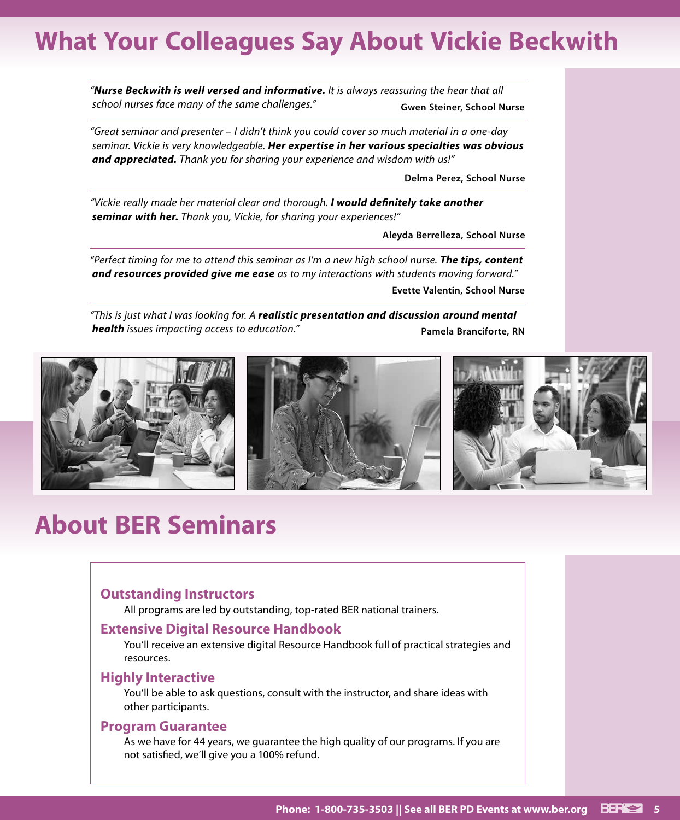## **What Your Colleagues Say About Vickie Beckwith**

*"Nurse Beckwith is well versed and informative. It is always reassuring the hear that all school nurses face many of the same challenges."* **Gwen Steiner, School Nurse**

*"Great seminar and presenter – I didn't think you could cover so much material in a one-day seminar. Vickie is very knowledgeable. Her expertise in her various specialties was obvious and appreciated. Thank you for sharing your experience and wisdom with us!"*

**Delma Perez, School Nurse**

*"Vickie really made her material clear and thorough. I would definitely take another seminar with her. Thank you, Vickie, for sharing your experiences!"*

**Aleyda Berrelleza, School Nurse**

*"Perfect timing for me to attend this seminar as I'm a new high school nurse. The tips, content and resources provided give me ease as to my interactions with students moving forward."*

**Evette Valentin, School Nurse**

*"This is just what I was looking for. A realistic presentation and discussion around mental health* issues impacting access to education." **Pamela Branciforte, RN** 



## **About BER Seminars**

#### **Outstanding Instructors**

All programs are led by outstanding, top-rated BER national trainers.

#### **Extensive Digital Resource Handbook**

You'll receive an extensive digital Resource Handbook full of practical strategies and resources.

#### **Highly Interactive**

You'll be able to ask questions, consult with the instructor, and share ideas with other participants.

#### **Program Guarantee**

As we have for 44 years, we guarantee the high quality of our programs. If you are not satisfied, we'll give you a 100% refund.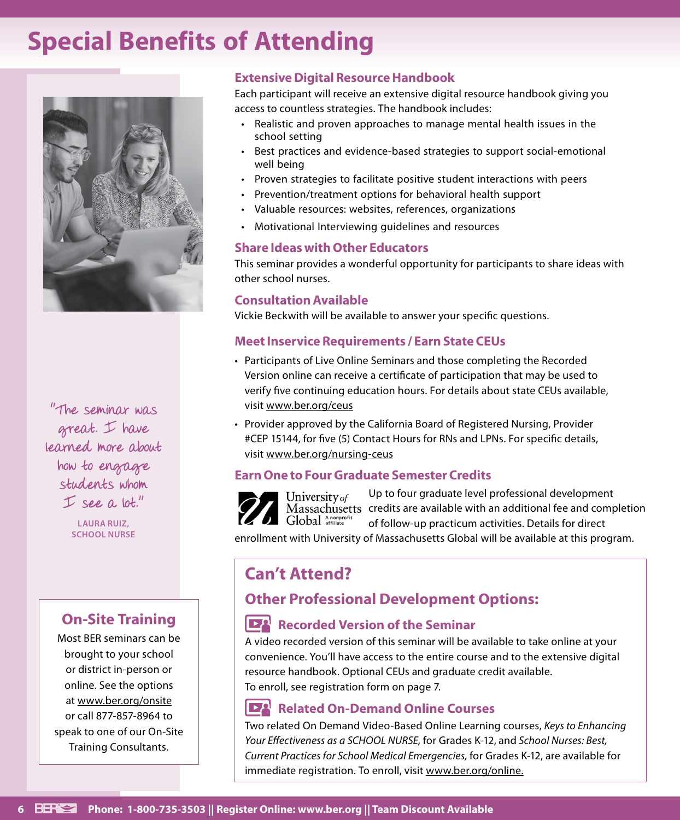## **Special Benefits of Attending**



"The seminar was great. I have learned more about how to engage students whom  $I$  see a lot."

> **LAURA RUIZ, SCHOOL NURSE**

### **On-Site Training**

Most BER seminars can be brought to your school or district in-person or online. See the options at www.ber.org/onsite or call 877-857-8964 to speak to one of our On-Site Training Consultants.

#### **Extensive Digital Resource Handbook**

Each participant will receive an extensive digital resource handbook giving you access to countless strategies. The handbook includes:

- Realistic and proven approaches to manage mental health issues in the school setting
- Best practices and evidence-based strategies to support social-emotional well being
- Proven strategies to facilitate positive student interactions with peers
- Prevention/treatment options for behavioral health support
- Valuable resources: websites, references, organizations
- Motivational Interviewing guidelines and resources

#### **Share Ideas with Other Educators**

This seminar provides a wonderful opportunity for participants to share ideas with other school nurses.

#### **Consultation Available**

Vickie Beckwith will be available to answer your specific questions.

#### **Meet Inservice Requirements / Earn State CEUs**

- Participants of Live Online Seminars and those completing the Recorded Version online can receive a certificate of participation that may be used to verify five continuing education hours. For details about state CEUs available, visit www.ber.org/ceus
- Provider approved by the California Board of Registered Nursing, Provider #CEP 15144, for five (5) Contact Hours for RNs and LPNs. For specific details, visit www.ber.org/nursing-ceus

#### **Earn One to Four Graduate Semester Credits**

Up to four graduate level professional development University of Massachusetts credits are available with an additional fee and completion Global Anonprofit of follow-up practicum activities. Details for direct

enrollment with University of Massachusetts Global will be available at this program.

### **Can't Attend?**

### **Other Professional Development Options:**

#### **Recorded Version of the Seminar**

A video recorded version of this seminar will be available to take online at your convenience. You'll have access to the entire course and to the extensive digital resource handbook. Optional CEUs and graduate credit available. To enroll, see registration form on page 7.

#### IEA **Related On-Demand Online Courses**

Two related On Demand Video-Based Online Learning courses, *Keys to Enhancing Your Effectiveness as a SCHOOL NURSE,* for Grades K-12, and *School Nurses: Best, Current Practices for School Medical Emergencies,* for Grades K-12, are available for immediate registration. To enroll, visit www.ber.org/online.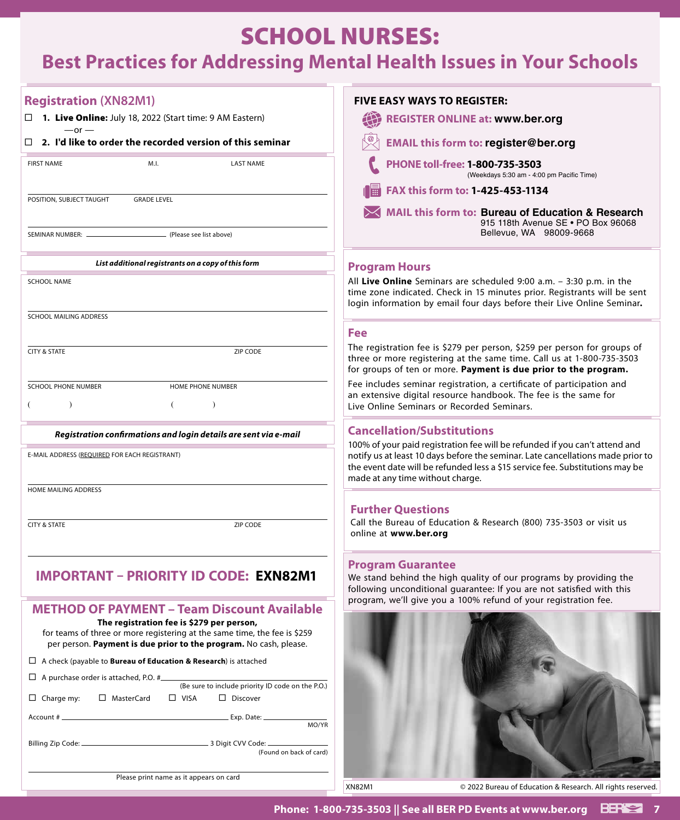### SCHOOL NURSES:

### **Best Practices for Addressing Mental Health Issues in Your Schools**

| <b>Registration (XN82M1)</b>                                                                                                                                                                | <b>FIVE EASY WAYS TO REGISTER:</b>                                                                                                                                                                                                                                                  |
|---------------------------------------------------------------------------------------------------------------------------------------------------------------------------------------------|-------------------------------------------------------------------------------------------------------------------------------------------------------------------------------------------------------------------------------------------------------------------------------------|
| $\Box$ <b>1. Live Online:</b> July 18, 2022 (Start time: 9 AM Eastern)                                                                                                                      | 任<br><b>REGISTER ONLINE at: www.ber.org</b>                                                                                                                                                                                                                                         |
| $-$ or $-$<br>2. I'd like to order the recorded version of this seminar<br>$\Box$                                                                                                           | <b>EMAIL this form to: register@ber.org</b>                                                                                                                                                                                                                                         |
| M.I.<br><b>FIRST NAME</b><br><b>LAST NAME</b>                                                                                                                                               | PHONE toll-free: 1-800-735-3503<br>(Weekdays 5:30 am - 4:00 pm Pacific Time)                                                                                                                                                                                                        |
|                                                                                                                                                                                             | FAX this form to: 1-425-453-1134                                                                                                                                                                                                                                                    |
| POSITION, SUBJECT TAUGHT<br><b>GRADE LEVEL</b>                                                                                                                                              | MAIL this form to: Bureau of Education & Research<br>915 118th Avenue SE . PO Box 96068                                                                                                                                                                                             |
| - (Please see list above)                                                                                                                                                                   | Bellevue, WA 98009-9668                                                                                                                                                                                                                                                             |
| List additional registrants on a copy of this form                                                                                                                                          | <b>Program Hours</b>                                                                                                                                                                                                                                                                |
| <b>SCHOOL NAME</b>                                                                                                                                                                          | All Live Online Seminars are scheduled 9:00 a.m. - 3:30 p.m. in the<br>time zone indicated. Check in 15 minutes prior. Registrants will be sent<br>login information by email four days before their Live Online Seminar.                                                           |
| SCHOOL MAILING ADDRESS                                                                                                                                                                      |                                                                                                                                                                                                                                                                                     |
|                                                                                                                                                                                             | <b>Fee</b>                                                                                                                                                                                                                                                                          |
| <b>CITY &amp; STATE</b><br>ZIP CODE                                                                                                                                                         | The registration fee is \$279 per person, \$259 per person for groups of<br>three or more registering at the same time. Call us at 1-800-735-3503<br>for groups of ten or more. Payment is due prior to the program.                                                                |
| <b>SCHOOL PHONE NUMBER</b><br>HOME PHONE NUMBER                                                                                                                                             | Fee includes seminar registration, a certificate of participation and<br>an extensive digital resource handbook. The fee is the same for                                                                                                                                            |
| $\lambda$<br>€<br>$\lambda$                                                                                                                                                                 | Live Online Seminars or Recorded Seminars.                                                                                                                                                                                                                                          |
| Registration confirmations and login details are sent via e-mail                                                                                                                            | <b>Cancellation/Substitutions</b>                                                                                                                                                                                                                                                   |
| E-MAIL ADDRESS (REQUIRED FOR EACH REGISTRANT)                                                                                                                                               | 100% of your paid registration fee will be refunded if you can't attend and<br>notify us at least 10 days before the seminar. Late cancellations made prior to<br>the event date will be refunded less a \$15 service fee. Substitutions may be<br>made at any time without charge. |
| HOME MAILING ADDRESS                                                                                                                                                                        |                                                                                                                                                                                                                                                                                     |
|                                                                                                                                                                                             | <b>Further Questions</b>                                                                                                                                                                                                                                                            |
| <b>CITY &amp; STATE</b><br>ZIP CODE                                                                                                                                                         | Call the Bureau of Education & Research (800) 735-3503 or visit us<br>online at www.ber.org                                                                                                                                                                                         |
| IMPORTANT – PRIORITY ID CODE: EXN82M1                                                                                                                                                       | <b>Program Guarantee</b><br>We stand behind the high quality of our programs by providing the<br>following unconditional guarantee: If you are not satisfied with this                                                                                                              |
| <b>METHOD OF PAYMENT - Team Discount Available</b>                                                                                                                                          | program, we'll give you a 100% refund of your registration fee.                                                                                                                                                                                                                     |
| The registration fee is \$279 per person,<br>for teams of three or more registering at the same time, the fee is \$259<br>per person. Payment is due prior to the program. No cash, please. |                                                                                                                                                                                                                                                                                     |
| $\Box$ A check (payable to <b>Bureau of Education &amp; Research</b> ) is attached                                                                                                          |                                                                                                                                                                                                                                                                                     |
| $\Box$ A purchase order is attached, P.O. #                                                                                                                                                 |                                                                                                                                                                                                                                                                                     |
| (Be sure to include priority ID code on the P.O.)<br>□ MasterCard<br>$\Box$ VISA<br>$\Box$ Charge my:<br>$\Box$ Discover                                                                    |                                                                                                                                                                                                                                                                                     |
| MO/YR                                                                                                                                                                                       |                                                                                                                                                                                                                                                                                     |
| (Found on back of card)                                                                                                                                                                     |                                                                                                                                                                                                                                                                                     |
| Please print name as it appears on card                                                                                                                                                     | <b>XN82M1</b>                                                                                                                                                                                                                                                                       |
|                                                                                                                                                                                             | © 2022 Bureau of Education & Research. All rights reserved.                                                                                                                                                                                                                         |